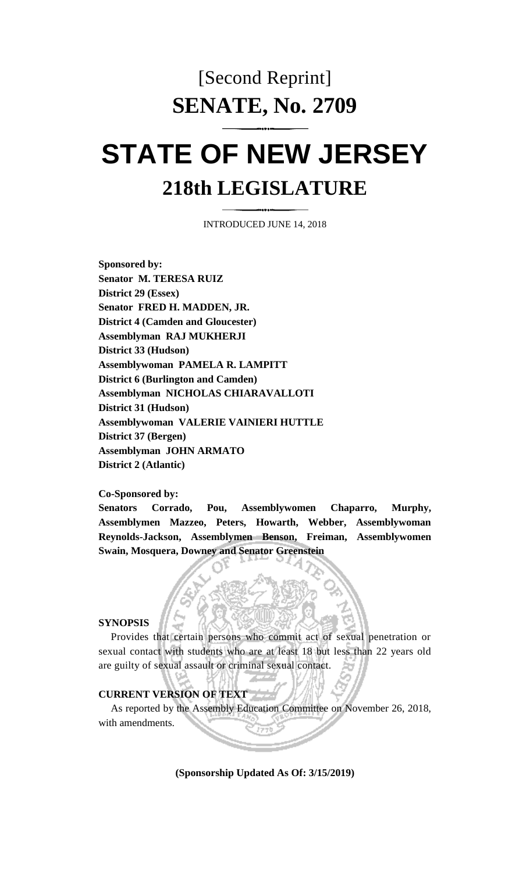## [Second Reprint] **SENATE, No. 2709**

# **STATE OF NEW JERSEY 218th LEGISLATURE**

INTRODUCED JUNE 14, 2018

**Sponsored by: Senator M. TERESA RUIZ District 29 (Essex) Senator FRED H. MADDEN, JR. District 4 (Camden and Gloucester) Assemblyman RAJ MUKHERJI District 33 (Hudson) Assemblywoman PAMELA R. LAMPITT District 6 (Burlington and Camden) Assemblyman NICHOLAS CHIARAVALLOTI District 31 (Hudson) Assemblywoman VALERIE VAINIERI HUTTLE District 37 (Bergen) Assemblyman JOHN ARMATO District 2 (Atlantic)**

**Co-Sponsored by:**

**Senators Corrado, Pou, Assemblywomen Chaparro, Murphy, Assemblymen Mazzeo, Peters, Howarth, Webber, Assemblywoman Reynolds-Jackson, Assemblymen Benson, Freiman, Assemblywomen Swain, Mosquera, Downey and Senator Greenstein**

#### **SYNOPSIS**

Provides that certain persons who commit act of sexual penetration or sexual contact with students who are at least 18 but less than 22 years old are guilty of sexual assault or criminal sexual contact.

#### **CURRENT VERSION OF TEXT**

As reported by the Assembly Education Committee on November 26, 2018, with amendments.

**(Sponsorship Updated As Of: 3/15/2019)**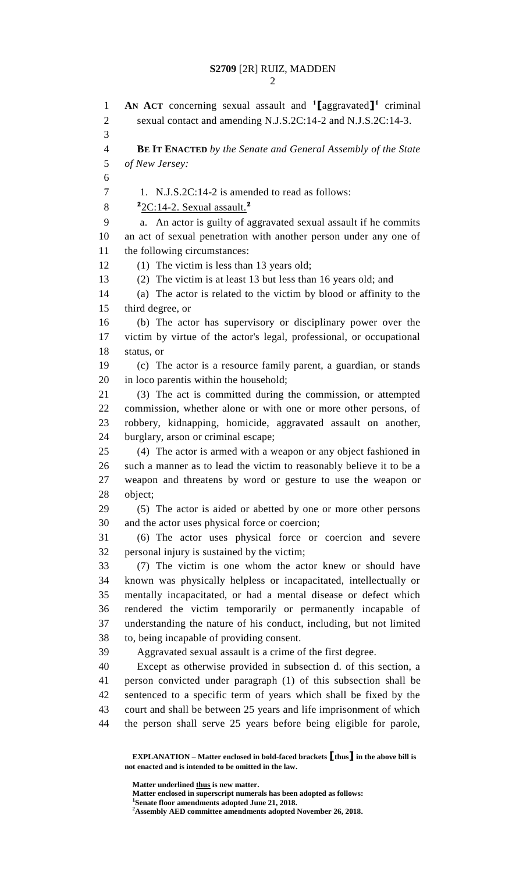**AN ACT** concerning sexual assault and **<sup>1</sup> [**aggravated**] 1** criminal 2 sexual contact and amending N.J.S.2C:14-2 and N.J.S.2C:14-3. **BE IT ENACTED** *by the Senate and General Assembly of the State of New Jersey:* 7 1. N.J.S.2C:14-2 is amended to read as follows: 2C:14-2. Sexual assault.**<sup>2</sup>** a. An actor is guilty of aggravated sexual assault if he commits an act of sexual penetration with another person under any one of the following circumstances: (1) The victim is less than 13 years old; (2) The victim is at least 13 but less than 16 years old; and (a) The actor is related to the victim by blood or affinity to the third degree, or (b) The actor has supervisory or disciplinary power over the victim by virtue of the actor's legal, professional, or occupational status, or (c) The actor is a resource family parent, a guardian, or stands in loco parentis within the household; (3) The act is committed during the commission, or attempted commission, whether alone or with one or more other persons, of robbery, kidnapping, homicide, aggravated assault on another, burglary, arson or criminal escape; (4) The actor is armed with a weapon or any object fashioned in such a manner as to lead the victim to reasonably believe it to be a weapon and threatens by word or gesture to use the weapon or object; (5) The actor is aided or abetted by one or more other persons and the actor uses physical force or coercion; (6) The actor uses physical force or coercion and severe personal injury is sustained by the victim; (7) The victim is one whom the actor knew or should have known was physically helpless or incapacitated, intellectually or mentally incapacitated, or had a mental disease or defect which rendered the victim temporarily or permanently incapable of understanding the nature of his conduct, including, but not limited to, being incapable of providing consent. Aggravated sexual assault is a crime of the first degree. Except as otherwise provided in subsection d. of this section, a person convicted under paragraph (1) of this subsection shall be sentenced to a specific term of years which shall be fixed by the court and shall be between 25 years and life imprisonment of which the person shall serve 25 years before being eligible for parole,

**EXPLANATION – Matter enclosed in bold-faced brackets [thus] in the above bill is not enacted and is intended to be omitted in the law.**

**Matter underlined thus is new matter.**

**Matter enclosed in superscript numerals has been adopted as follows:**

**Senate floor amendments adopted June 21, 2018.**

**Assembly AED committee amendments adopted November 26, 2018.**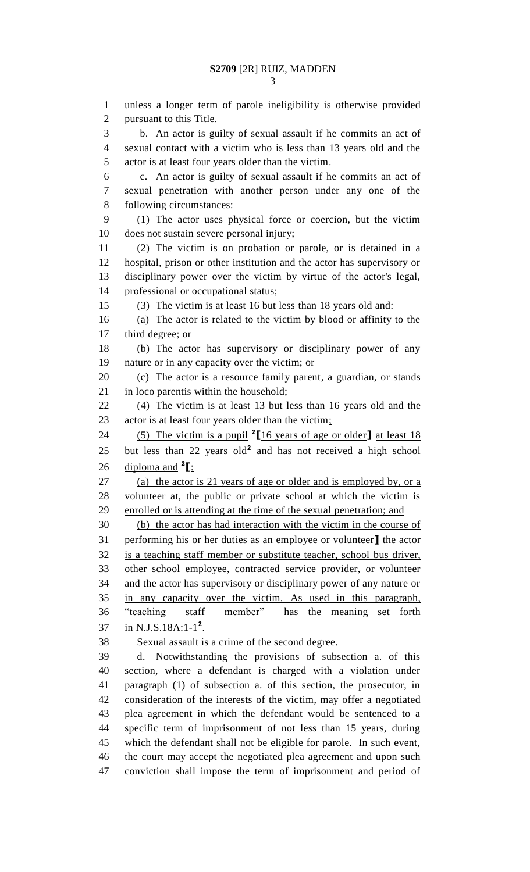unless a longer term of parole ineligibility is otherwise provided pursuant to this Title. b. An actor is guilty of sexual assault if he commits an act of sexual contact with a victim who is less than 13 years old and the actor is at least four years older than the victim. c. An actor is guilty of sexual assault if he commits an act of sexual penetration with another person under any one of the following circumstances: (1) The actor uses physical force or coercion, but the victim does not sustain severe personal injury; (2) The victim is on probation or parole, or is detained in a hospital, prison or other institution and the actor has supervisory or disciplinary power over the victim by virtue of the actor's legal, professional or occupational status; (3) The victim is at least 16 but less than 18 years old and: (a) The actor is related to the victim by blood or affinity to the third degree; or (b) The actor has supervisory or disciplinary power of any nature or in any capacity over the victim; or (c) The actor is a resource family parent, a guardian, or stands 21 in loco parentis within the household; (4) The victim is at least 13 but less than 16 years old and the 23 actor is at least four years older than the victim; (5) The victim is a pupil **<sup>2</sup> [**16 years of age or older**]** at least 18 25 but less than 22 years old<sup>2</sup> and has not received a high school  $\frac{diploma$  and <sup>2</sup>[: (a) the actor is 21 years of age or older and is employed by, or a volunteer at, the public or private school at which the victim is enrolled or is attending at the time of the sexual penetration; and (b) the actor has had interaction with the victim in the course of performing his or her duties as an employee or volunteer**]** the actor is a teaching staff member or substitute teacher, school bus driver, other school employee, contracted service provider, or volunteer and the actor has supervisory or disciplinary power of any nature or in any capacity over the victim. As used in this paragraph, "teaching staff member" has the meaning set forth 37 in N.J.S.18A:1-1<sup>2</sup>. Sexual assault is a crime of the second degree. d. Notwithstanding the provisions of subsection a. of this section, where a defendant is charged with a violation under paragraph (1) of subsection a. of this section, the prosecutor, in consideration of the interests of the victim, may offer a negotiated plea agreement in which the defendant would be sentenced to a specific term of imprisonment of not less than 15 years, during which the defendant shall not be eligible for parole. In such event, the court may accept the negotiated plea agreement and upon such conviction shall impose the term of imprisonment and period of